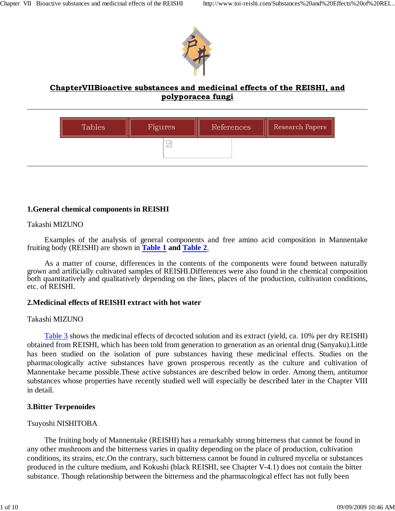

# **ChapterVIIBioactive substances and medicinal effects of the REISHI, and polyporacea fungi**



### **1.General chemical components in REISHI**

#### Takashi MIZUNO

Examples of the analysis of general components and free amino acid composition in Mannentake fruiting body (REISHI) are shown in **Table 1 and Table 2**.

As a matter of course, differences in the contents of the components were found between naturally grown and artificially cultivated samples of REISHI.Differences were also found in the chemical composition both quantitatively and qualitatively depending on the lines, places of the production, cultivation conditions, etc. of REISHI.

#### **2.Medicinal effects of REISHI extract with hot water**

#### Takashi MIZUNO

Table 3 shows the medicinal effects of decocted solution and its extract (yield, ca. 10% per dry REISHI) obtained from REISHI, which has been told from generation to generation as an oriental drug (Sanyaku).Little has been studied on the isolation of pure substances having these medicinal effects. Studies on the pharmacologically active substances have grown prosperous recently as the culture and cultivation of Mannentake became possible.These active substances are described below in order. Among them, antitumor substances whose properties have recently studied well will especially be described later in the Chapter VIII in detail.

#### **3.Bitter Terpenoides**

#### Tsuyoshi NISHITOBA

The fruiting body of Mannentake (REISHI) has a remarkably strong bitterness that cannot be found in any other mushroom and the bitterness varies in quality depending on the place of production, cultivation conditions, its strains, etc.On the contrary, such bitterness cannot be found in cultured mycelia or substances produced in the culture medium, and Kokushi (black REISHI, see Chapter V-4.1) does not contain the bitter substance. Though relationship between the bitterness and the pharmacological effect has not fully been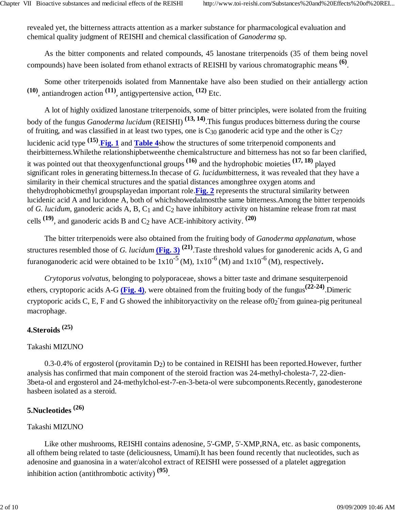revealed yet, the bitterness attracts attention as a marker substance for pharmacological evaluation and chemical quality judgment of REISHI and chemical classification of *Ganoderma* sp.

As the bitter components and related compounds, 45 lanostane triterpenoids (35 of them being novel compounds) have been isolated from ethanol extracts of REISHI by various chromatographic means **(6)**.

Some other triterpenoids isolated from Mannentake have also been studied on their antiallergy action **(10)**, antiandrogen action **(11)**, antigypertensive action, **(12)** Etc.

A lot of highly oxidized lanostane triterpenoids, some of bitter principles, were isolated from the fruiting body of the fungus *Ganoderma lucidum* (REISHI) **(13, 14)**.This fungus produces bitterness during the course of fruiting, and was classified in at least two types, one is  $C_{30}$  ganoderic acid type and the other is  $C_{27}$ lucidenic acid type **(15)**.**Fig. 1** and **Table 4**show the structures of some triterpenoid components and theirbitterness.Whilethe relationshipbetweenthe chemicalstructure and bitterness has not so far been clarified, it was pointed out that theoxygenfunctional groups **(16)** and the hydrophobic moieties **(17, 18)** played significant roles in generating bitterness.In thecase of *G. lucidum*bitterness, it was revealed that they have a similarity in their chemical structures and the spatial distances amongthree oxygen atoms and thehydrophobicmethyl groupsplayedan important role.**Fig. 2** represents the structural similarity between lucidenic acid A and lucidone A, both of whichshowedalmostthe same bitterness.Among the bitter terpenoids of *G. lucidum,* ganoderic acids A, B, C1 and C2 have inhibitory activity on histamine release from rat mast cells  $(19)$ , and ganoderic acids B and C<sub>2</sub> have ACE-inhibitory activity.  $(20)$ 

The bitter triterpenoids were also obtained from the fruiting body of *Ganoderma applanatum,* whose structures resembled those of *G. lucidum* (Fig. 3)<sup>(21)</sup>. Taste threshold values for ganoderenic acids A, G and furanoganoderic acid were obtained to be  $1x10^{-5}$  (M),  $1x10^{-6}$  (M) and  $1x10^{-6}$  (M), respectively.

*Crytoporus volvatus,* belonging to polyporaceae, shows a bitter taste and drimane sesquiterpenoid ethers, cryptoporic acids A-G **(Fig. 4)**, were obtained from the fruiting body of the fungus**(22-24)**.Dimeric cryptoporic acids C, E, F and G showed the inhibitory activity on the release of  $0<sub>2</sub>$  from guinea-pig perituneal macrophage.

# **4.Steroids (25)**

## Takashi MIZUNO

 $0.3$ -0.4% of ergosterol (provitamin  $D_2$ ) to be contained in REISHI has been reported. However, further analysis has confirmed that main component of the steroid fraction was 24-methyl-cholesta-7, 22-dien-3beta-ol and ergosterol and 24-methylchol-est-7-en-3-beta-ol were subcomponents.Recently, ganodesterone hasbeen isolated as a steroid.

# **5.Nucleotides (26)**

# Takashi MIZUNO

Like other mushrooms, REISHI contains adenosine, 5'-GMP, 5'-XMP,RNA, etc. as basic components, all ofthem being related to taste (deliciousness, Umami).It has been found recently that nucleotides, such as adenosine and guanosina in a water/alcohol extract of REISHI were possessed of a platelet aggregation inhibition action (antithrombotic activity) **(95)**.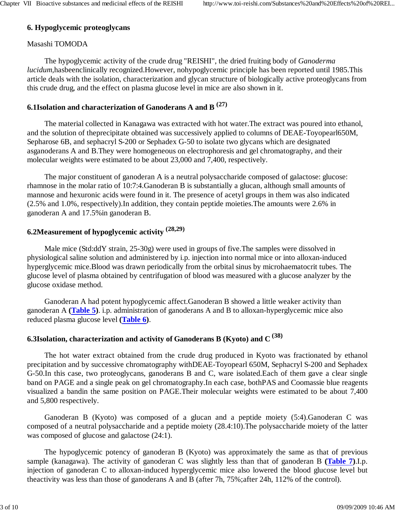### **6. Hypoglycemic proteoglycans**

### Masashi TOMODA

The hypoglycemic activity of the crude drug "REISHI", the dried fruiting body of *Ganoderma lucidum,*hasbeenclinically recognized.However, nohypoglycemic principle has been reported until 1985.This article deals with the isolation, characterization and glycan structure of biologically active proteoglycans from this crude drug, and the effect on plasma glucose level in mice are also shown in it.

### **6.1Isolation and characterization of Ganoderans A and B (27)**

The material collected in Kanagawa was extracted with hot water.The extract was poured into ethanol, and the solution of theprecipitate obtained was successively applied to columns of DEAE-Toyopearl650M, Sepharose 6B, and sephacryl S-200 or Sephadex G-50 to isolate two glycans which are designated asganoderans A and B.They were homogeneous on electrophoresis and gel chromatography, and their molecular weights were estimated to be about 23,000 and 7,400, respectively.

The major constituent of ganoderan A is a neutral polysaccharide composed of galactose: glucose: rhamnose in the molar ratio of 10:7:4.Ganoderan B is substantially a glucan, although small amounts of mannose and hexuronic acids were found in it. The presence of acetyl groups in them was also indicated (2.5% and 1.0%, respectively).In addition, they contain peptide moieties.The amounts were 2.6% in ganoderan A and 17.5%in ganoderan B.

# **6.2Measurement of hypoglycemic activity (28,29)**

Male mice (Std:ddY strain, 25-30g) were used in groups of five.The samples were dissolved in physiological saline solution and administered by i.p. injection into normal mice or into alloxan-induced hyperglycemic mice.Blood was drawn periodically from the orbital sinus by microhaematocrit tubes. The glucose level of plasma obtained by centrifugation of blood was measured with a glucose analyzer by the glucose oxidase method.

Ganoderan A had potent hypoglycemic affect.Ganoderan B showed a little weaker activity than ganoderan A **(Table 5)**. i.p. administration of ganoderans A and B to alloxan-hyperglycemic mice also reduced plasma glucose level **(Table 6)**.

# **6.3Isolation, characterization and activity of Ganoderans B (Kyoto) and C (38)**

The hot water extract obtained from the crude drug produced in Kyoto was fractionated by ethanol precipitation and by successive chromatography withDEAE-Toyopearl 650M, Sephacryl S-200 and Sephadex G-50.In this case, two proteoglycans, ganoderans B and C, ware isolated.Each of them gave a clear single band on PAGE and a single peak on gel chromatography.In each case, bothPAS and Coomassie blue reagents visualized a bandin the same position on PAGE.Their molecular weights were estimated to be about 7,400 and 5,800 respectively.

Ganoderan B (Kyoto) was composed of a glucan and a peptide moiety (5:4).Ganoderan C was composed of a neutral polysaccharide and a peptide moiety (28.4:10).The polysaccharide moiety of the latter was composed of glucose and galactose (24:1).

The hypoglycemic potency of ganoderan B (Kyoto) was approximately the same as that of previous sample (kanagawa). The activity of ganoderan C was slightly less than that of ganoderan B **(Table 7)**.I.p. injection of ganoderan C to alloxan-induced hyperglycemic mice also lowered the blood glucose level but theactivity was less than those of ganoderans A and B (after 7h, 75%;after 24h, 112% of the control).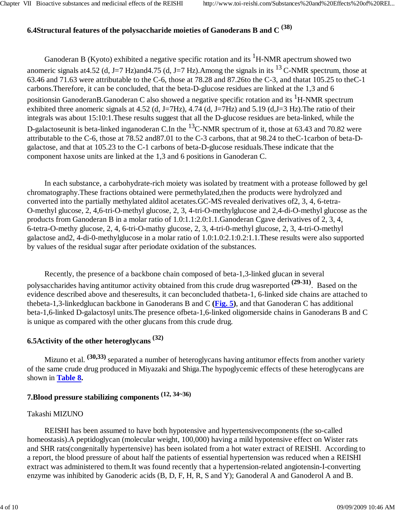# **6.4Structural features of the polysaccharide moieties of Ganoderans B and C (38)**

Ganoderan B (Kyoto) exhibited a negative specific rotation and its  ${}^{1}H$ -NMR apectrum showed two anomeric signals at 4.52 (d, J=7 Hz)and 4.75 (d, J=7 Hz). Among the signals in its <sup>13</sup> C-NMR spectrum, those at 63.46 and 71.63 were attributable to the C-6, those at 78.28 and 87.26to the C-3, and thatat 105.25 to theC-1 carbons.Therefore, it can be concluded, that the beta-D-glucose residues are linked at the 1,3 and 6 positionsin GanoderanB.Ganoderan C also showed a negative specific rotation and its <sup>1</sup>H-NMR spectrum exhibited three anomeric signals at 4.52 (d, J=7Hz), 4.74 (d, J=7Hz) and 5.19 (d, J=3 Hz). The ratio of their integrals was about 15:10:1.These results suggest that all the D-glucose residues are beta-linked, while the D-galactoseunit is beta-linked inganoderan C.In the <sup>13</sup>C-NMR spectrum of it, those at 63.43 and 70.82 were attributable to the C-6, those at 78.52 and87.01 to the C-3 carbons, that at 98.24 to theC-1carbon of beta-Dgalactose, and that at 105.23 to the C-1 carbons of beta-D-glucose residuals.These indicate that the component haxose units are linked at the 1,3 and 6 positions in Ganoderan C.

In each substance, a carbohydrate-rich moiety was isolated by treatment with a protease followed by gel chromatography.These fractions obtained were permethylated,then the products were hydrolyzed and converted into the partially methylated alditol acetates.GC-MS revealed derivatives of2, 3, 4, 6-tetra-O-methyl glucose, 2, 4,6-tri-O-methyl glucose, 2, 3, 4-tri-O-methylglucose and 2,4-di-O-methyl glucose as the products from Ganoderan B in a molar ratio of 1.0:1.1:2.0:1.1.Ganoderan Cgave derivatives of 2, 3, 4, 6-tetra-O-methy glucose, 2, 4, 6-tri-O-mathy glucose, 2, 3, 4-tri-0-methyl glucose, 2, 3, 4-tri-O-methyl galactose and2, 4-di-0-methylglucose in a molar ratio of 1.0:1.0:2.1:0.2:1.1.These results were also supported by values of the residual sugar after periodate oxidation of the substances.

Recently, the presence of a backbone chain composed of beta-1,3-linked glucan in several polysaccharides having antitumor activity obtained from this crude drug wasreported **(29-31)**. Based on the evidence described above and theseresults, it can beconcluded thatbeta-1, 6-linked side chains are attached to thebeta-1,3-linkedglucan backbone in Ganoderans B and C **(Fig. 5)**, and that Ganoderan C has additional beta-1,6-linked D-galactosyl units.The presence ofbeta-1,6-linked oligomerside chains in Ganoderans B and C is unique as compared with the other glucans from this crude drug.

# **6.5Activity of the other heteroglycans (32)**

Mizuno et al. **(30,33)** separated a number of heteroglycans having antitumor effects from another variety of the same crude drug produced in Miyazaki and Shiga.The hypoglycemic effects of these heteroglycans are shown in **Table 8.**

# **7.Blood pressure stabilizing components (12, 34~36)**

### Takashi MIZUNO

REISHI has been assumed to have both hypotensive and hypertensivecomponents (the so-called homeostasis).A peptidoglycan (molecular weight, 100,000) having a mild hypotensive effect on Wister rats and SHR rats(congenitally hypertensive) has been isolated from a hot water extract of REISHI. According to a report, the blood pressure of about half the patients of essential hypertension was reduced when a REISHI extract was administered to them.It was found recently that a hypertension-related angiotensin-I-converting enzyme was inhibited by Ganoderic acids (B, D, F, H, R, S and Y); Ganoderal A and Ganoderol A and B.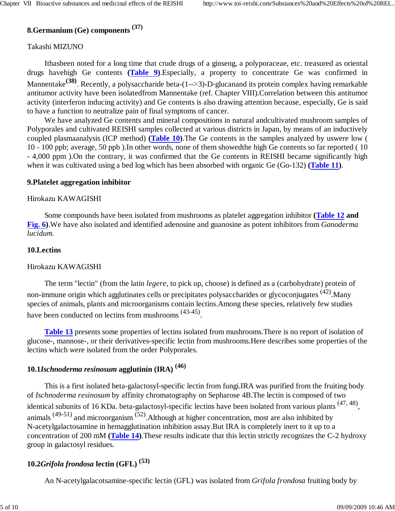# **8.Germanium (Ge) components (37)**

### Takashi MIZUNO

Ithasbeen noted for a long time that crude drugs of a ginseng, a polyporaceae, etc. treasured as oriental drugs havehigh Ge contents **(Table 9)**.Especially, a property to concentrate Ge was confirmed in Mannentake**(38)**. Recently, a polysaccharide beta-(1-->3)-D-glucanand its protein complex having remarkable antitumor activity have been isolatedfrom Mannentake (ref. Chapter VIII).Correlation between this antitumor activity (interferon inducing activity) and Ge contents is also drawing attention because, especially, Ge is said to have a function to neutralize pain of final symptoms of cancer.

We have analyzed Ge contents and mineral compositions in natural andcultivated mushroom samples of Polyporales and cultivated REISHI samples collected at various districts in Japan, by means of an inductively coupled plasmaanalysis (ICP method) **(Table 10)**.The Ge contents in the samples analyzed by uswere low ( 10 - 100 ppb; average, 50 ppb ).In other words, none of them showedthe high Ge contents so far reported ( 10 - 4,000 ppm ).On the contrary, it was confirmed that the Ge contents in REISHI became significantly high when it was cultivated using a bed log which has been absorbed with organic Ge (Go-132) **(Table 11)**.

### **9.Platelet aggregation inhibitor**

### Hirokazu KAWAGISHI

Some compounds have been isolated from mushrooms as platelet aggregation inhibitor **(Table 12 and Fig. 6)**.We have also isolated and identified adenosine and guanosine as potent inhibitors from *Ganoderma lucidum.*

### **10.Lectins**

### Hirokazu KAWAGISHI

The term "lectin" (from the latin *legere,* to pick up, choose) is defined as a (carbohydrate) protein of non-immune origin which agglutinates cells or precipitates polysaccharides or glycoconjugates <sup>(42)</sup>. Many species of animals, plants and microorganisms contain lectins.Among these species, relatively few studies have been conducted on lectins from mushrooms  $(43-45)$ .

**Table 13** presents some properties of lectins isolated from mushrooms.There is no report of isolation of glucose-, mannose-, or their derivatives-specific lectin from mushrooms.Here describes some properties of the lectins which were isolated from the order Polyporales.

### **10.1***Ischnoderma resinosum* **agglutinin (IRA) (46)**

This is a first isolated beta-galactosyl-specific lectin from fungi.IRA was purified from the fruiting body of *Ischnoderma resinosum* by affinity chromatography on Sepharose 4B.The lectin is composed of two identical subunits of 16 KDa. beta-galactosyl-specific lectins have been isolated from various plants <sup>(47, 48)</sup>, animals (49-51) and microorganism (52).Although at higher concentration, most are also inhibited by N-acetylgalactosamine in hemagglutination inhibition assay.But IRA is completely inert to it up to a concentration of 200 mM **(Table 14)**.These results indicate that this lectin strictly recognizes the C-2 hydroxy group in galactosyl residues.

## **10.2***Grifola frondosa* **lectin (GFL) (53)**

An N-acetylgalacotsamine-specific lectin (GFL) was isolated from *Grifola frondosa* fruiting body by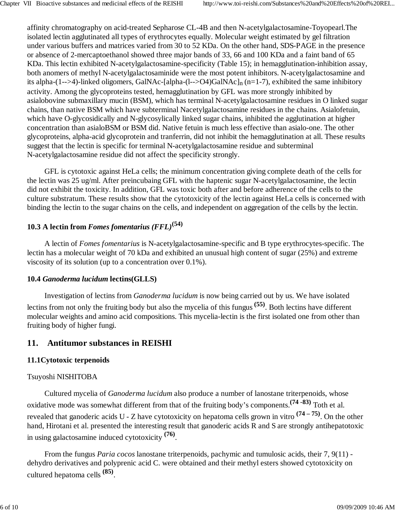affinity chromatography on acid-treated Sepharose CL-4B and then N-acetylgalactosamine-Toyopearl.The isolated lectin agglutinated all types of erythrocytes equally. Molecular weight estimated by gel filtration under various buffers and matrices varied from 30 to 52 KDa. On the other hand, SDS-PAGE in the presence or absence of 2-mercaptoethanol showed three major bands of 33, 66 and 100 KDa and a faint band of 65 KDa. This lectin exhibited N-acetylgalactosamine-specificity (Table 15); in hemagglutination-inhibition assay, both anomers of methyl N-acetylgalactosaminide were the most potent inhibitors. N-acetylgalactosamine and its alpha-(1-->4)-linked oligomers, GalNAc-[alpha-(l-->O4)GalNAc]<sub>n</sub> (n=1-7), exhibited the same inhibitory activity. Among the glycoproteins tested, hemagglutination by GFL was more strongly inhibited by asialobovine submaxillary mucin (BSM), which has terminal N-acetylgalactosamine residues in O linked sugar chains, than native BSM which have subterminal Nacetylgalactosamine residues in the chains. Asialofetuin, which have O-glycosidically and N-glycosylically linked sugar chains, inhibited the agglutination at higher concentration than asialoBSM or BSM did. Native fetuin is much less effective than asialo-one. The other glycoproteins, alpha-acid glycoprotein and tranferrin, did not inhibit the hemagglutination at all. These results suggest that the lectin is specific for terminal N-acetylgalactosamine residue and subterminal N-acetylgalactosamine residue did not affect the specificity strongly.

GFL is cytotoxic against HeLa cells; the minimum concentration giving complete death of the cells for the lectin was 25 ug/ml. After preincubaing GFL with the haptenic sugar N-acetylgalactosamine, the lectin did not exhibit the toxicity. In addition, GFL was toxic both after and before adherence of the cells to the culture substratum. These results show that the cytotoxicity of the lectin against HeLa cells is concerned with binding the lectin to the sugar chains on the cells, and independent on aggregation of the cells by the lectin.

# **10.3 A lectin from** *Fomes fomentarius (FFL)***(54)**

A lectin of *Fomes fomentarius* is N-acetylgalactosamine-specific and B type erythrocytes-specific. The lectin has a molecular weight of 70 kDa and exhibited an unusual high content of sugar (25%) and extreme viscosity of its solution (up to a concentration over 0.1%).

### **10.4** *Ganoderma lucidum* **lectins(GLLS)**

Investigation of lectins from *Ganoderma lucidum* is now being carried out by us. We have isolated lectins from not only the fruiting body but also the mycelia of this fungus**(55)**. Both lectins have different molecular weights and amino acid compositions. This mycelia-lectin is the first isolated one from other than fruiting body of higher fungi.

# **11. Antitumor substances in REISHI**

## **11.1Cytotoxic terpenoids**

## Tsuyoshi NISHITOBA

Cultured mycelia of *Ganoderma lucidum* also produce a number of lanostane triterpenoids, whose oxidative mode was somewhat different from that of the fruiting body's components.**(74 -83)** Toth et al. revealed that ganoderic acids U - Z have cytotoxicity on hepatoma cells grown in vitro **(74 – 75)**. On the other hand, Hirotani et al. presented the interesting result that ganoderic acids R and S are strongly antihepatotoxic in using galactosamine induced cytotoxicity **(76)**.

From the fungus *Paria cocos* lanostane triterpenoids, pachymic and tumulosic acids, their 7, 9(11) dehydro derivatives and polyprenic acid C. were obtained and their methyl esters showed cytotoxicity on cultured hepatoma cells **(85)**.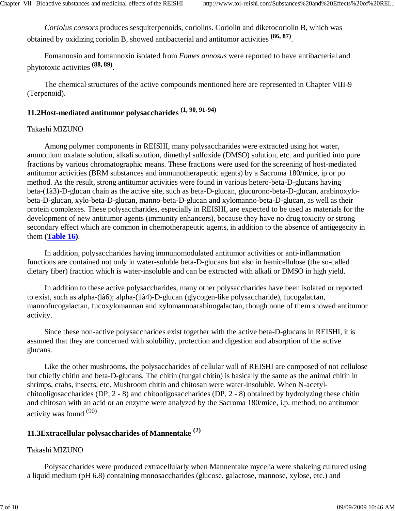*Coriolus consors* produces sesquiterpenoids, coriolins. Coriolin and diketocoriolin B, which was obtained by oxidizing coriolin B, showed antibacterial and antitumor activities **(86, 87)**.

Fomannosin and fomannoxin isolated from *Fomes annosus* were reported to have antibacterial and phytotoxic activities **(88, 89)**.

The chemical structures of the active compounds mentioned here are represented in Chapter VIII-9 (Terpenoid).

# **11.2Host-mediated antitumor polysaccharides (1, 90, 91-94)**

### Takashi MIZUNO

Among polymer components in REISHI, many polysaccharides were extracted using hot water, ammonium oxalate solution, alkali solution, dimethyl sulfoxide (DMSO) solution, etc. and purified into pure fractions by various chromatographic means. These fractions were used for the screening of host-mediated antitumor activities (BRM substances and immunotherapeutic agents) by a Sacroma 180/mice, ip or po method. As the result, strong antitumor activities were found in various hetero-beta-D-glucans having beta-(1à3)-D-glucan chain as the active site, such as beta-D-glucan, glucurono-beta-D-glucan, arabinoxylobeta-D-glucan, xylo-beta-D-glucan, manno-beta-D-glucan and xylomanno-beta-D-glucan, as well as their protein complexes. These polysaccharides, especially in REISHI, are expected to be used as materials for the development of new antitumor agents (immunity enhancers), because they have no drug toxicity or strong secondary effect which are common in chemotherapeutic agents, in addition to the absence of antigegecity in them **(Table 16)**.

In addition, polysaccharides having immunomodulated antitumor activities or anti-inflammation functions are contained not only in water-soluble beta-D-glucans but also in hemicellulose (the so-called dietary fiber) fraction which is water-insoluble and can be extracted with alkali or DMSO in high yield.

In addition to these active polysaccharides, many other polysaccharides have been isolated or reported to exist, such as alpha-(là6); alpha-(1à4)-D-glucan (glycogen-like polysaccharide), fucogalactan, mannofucogalactan, fucoxylomannan and xylomannoarabinogalactan, though none of them showed antitumor activity.

Since these non-active polysaccharides exist together with the active beta-D-glucans in REISHI, it is assumed that they are concerned with solubility, protection and digestion and absorption of the active glucans.

Like the other mushrooms, the polysaccharides of cellular wall of REISHI are composed of not cellulose but chiefly chitin and beta-D-glucans. The chitin (fungal chitin) is basically the same as the animal chitin in shrimps, crabs, insects, etc. Mushroom chitin and chitosan were water-insoluble. When N-acetylchitooligosaccharides (DP, 2 - 8) and chitooligosaccharides (DP, 2 - 8) obtained by hydrolyzing these chitin and chitosan with an acid or an enzyme were analyzed by the Sacroma 180/mice, i.p. method, no antitumor activity was found (90).

### **11.3Extracellular polysaccharides of Mannentake (2)**

### Takashi MIZUNO

Polysaccharides were produced extracellularly when Mannentake mycelia were shakeing cultured using a liquid medium (pH 6.8) containing monosaccharides (glucose, galactose, mannose, xylose, etc.) and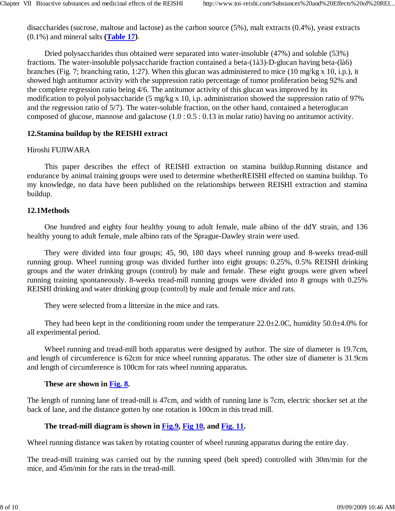disaccharides (sucrose, maltose and lactose) as the carbon source (5%), malt extracts (0.4%), yeast extracts (0.1%) and mineral salts **(Table 17)**.

Dried polysaccharides thus obtained were separated into water-insoluble (47%) and soluble (53%) fractions. The water-insoluble polysaccharide fraction contained a beta-(1à3)-D-glucan having beta-(là6) branches (Fig. 7; branching ratio, 1:27). When this glucan was administered to mice (10 mg/kg x 10, i.p.), it showed high antitumor activity with the suppression ratio percentage of tumor proliferation being 92% and the complete regression ratio being 4/6. The antitumor activity of this glucan was improved by its modification to polyol polysaccharide (5 mg/kg x 10, i.p. administration showed the suppression ratio of 97% and the regression ratio of 5/7). The water-soluble fraction, on the other hand, contained a heteroglucan composed of glucose, mannose and galactose (1.0 : 0.5 : 0.13 in molar ratio) having no antitumor activity.

### **12.Stamina buildup by the REISHI extract**

### Hiroshi FUJIWARA

This paper describes the effect of REISHI extraction on stamina buildup.Running distance and endurance by animal training groups were used to determine whetherREISHI effected on stamina buildup. To my knowledge, no data have been published on the relationships between REISHI extraction and stamina buildup.

### **12.1Methods**

One hundred and eighty four healthy young to adult female, male albino of the ddY strain, and 136 healthy young to adult female, male albino rats of the Sprague-Dawley strain were used.

They were divided into four groups; 45, 90, 180 days wheel running group and 8-weeks tread-mill running group. Wheel running group was divided further into eight groups: 0.25%, 0.5% REISHI drinking groups and the water drinking groups (control) by male and female. These eight groups were given wheel running training spontaneously. 8-weeks tread-mill running groups were divided into 8 groups with 0.25% REISHI drinking and water drinking group (control) by male and female mice and rats.

They were selected from a littersize in the mice and rats.

They had been kept in the conditioning room under the temperature  $22.0\pm2.0$ C, humidity  $50.0\pm4.0\%$  for all experimental period.

Wheel running and tread-mill both apparatus were designed by author. The size of diameter is 19.7cm, and length of circumference is 62cm for mice wheel running apparatus. The other size of diameter is 31.9cm and length of circumference is 100cm for rats wheel running apparatus.

### **These are shown in Fig. 8.**

The length of running lane of tread-mill is 47cm, and width of running lane is 7cm, electric shocker set at the back of lane, and the distance gotten by one rotation is 100cm in this tread mill.

### **The tread-mill diagram is shown in Fig.9, Fig 10, and Fig. 11.**

Wheel running distance was taken by rotating counter of wheel running apparatus during the entire day.

The tread-mill training was carried out by the running speed (belt speed) controlled with 30m/min for the mice, and 45m/min for the rats in the tread-mill.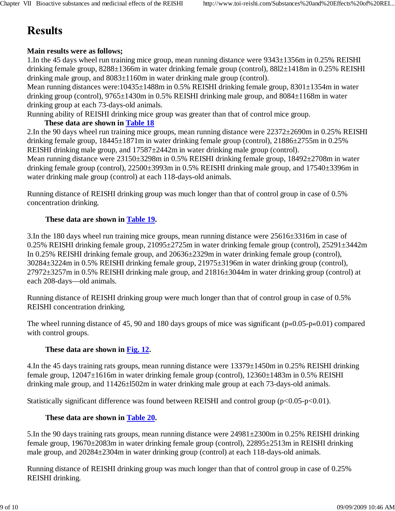# **Results**

## **Main results were as follows;**

1.In the 45 days wheel run training mice group, mean running distance were 9343±1356m in 0.25% REISHI drinking female group, 8288±1366m in water drinking female group (control), 88l2±1418m in 0.25% REISHI drinking male group, and 8083±1160m in water drinking male group (control).

Mean running distances were:10435 $\pm$ 1488m in 0.5% REISHI drinking female group, 8301 $\pm$ 1354m in water drinking group (control), 9765±1430m in 0.5% REISHI drinking male group, and 8084±1168m in water drinking group at each 73-days-old animals.

Running ability of REISHI drinking mice group was greater than that of control mice group.

### **These data are shown in Table 18**

2.In the 90 days wheel run training mice groups, mean running distance were 22372±2690m in 0.25% REISHI drinking female group, 18445±1871m in water drinking female group (control), 21886±2755m in 0.25% REISHI drinking male group, and 17587±2442m in water drinking male group (control).

Mean running distance were 23150±3298m in 0.5% REISHI drinking female group, 18492±2708m in water drinking female group (control),  $22500\pm3993$  m in 0.5% REISHI drinking male group, and  $17540\pm3396$  m in water drinking male group (control) at each 118-days-old animals.

Running distance of REISHI drinking group was much longer than that of control group in case of 0.5% concentration drinking.

### **These data are shown in Table 19.**

3.In the 180 days wheel run training mice groups, mean running distance were 25616±3316m in case of 0.25% REISHI drinking female group, 21095±2725m in water drinking female group (control), 25291±3442m In 0.25% REISHI drinking female group, and 20636±2329m in water drinking female group (control), 30284±3224m in 0.5% REISHI drinking female group, 21975±3196m in water drinking group (control), 27972±3257m in 0.5% REISHI drinking male group, and 21816±3044m in water drinking group (control) at each 208-days—old animals.

Running distance of REISHI drinking group were much longer than that of control group in case of 0.5% REISHI concentration drinking.

The wheel running distance of 45, 90 and 180 days groups of mice was significant (p«0.05-p«0.01) compared with control groups.

## **These data are shown in Fig. 12.**

4.In the 45 days training rats groups, mean running distance were 13379±1450m in 0.25% REISHI drinking female group, 12047±1616m in water drinking female group (control), 12360±1483m in 0.5% REISHI drinking male group, and 11426±l502m in water drinking male group at each 73-days-old animals.

Statistically significant difference was found between REISHI and control group (p<0.05-p<0.01).

## **These data are shown in Table 20.**

5.In the 90 days training rats groups, mean running distance were 24981±2300m in 0.25% REISHI drinking female group, 19670±2083m in water drinking female group (control), 22895±2513m in REISHI drinking male group, and 20284±2304m in water drinking group (control) at each 118-days-old animals.

Running distance of REISHI drinking group was much longer than that of control group in case of 0.25% REISHI drinking.